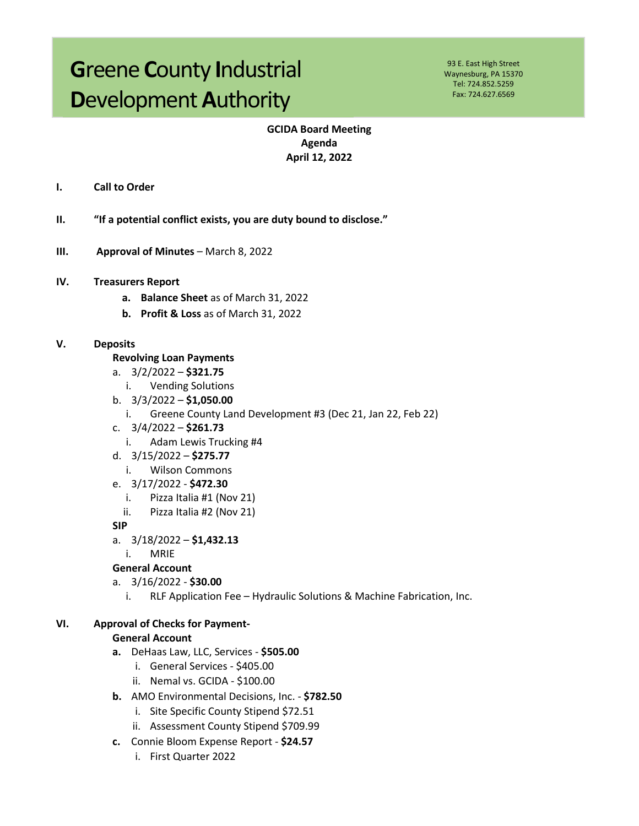# **G**reene **C**ounty **I**ndustrial **D**evelopment **A**uthority

93 E. East High Street Waynesburg, PA 15370 Tel: 724.852.5259 Fax: 724.627.6569

## **GCIDA Board Meeting Agenda April 12, 2022**

- **I. Call to Order**
- **II. "If a potential conflict exists, you are duty bound to disclose."**
- **III. Approval of Minutes** March 8, 2022
- **IV. Treasurers Report**
	- **a. Balance Sheet** as of March 31, 2022
	- **b. Profit & Loss** as of March 31, 2022

## **V. Deposits**

- **Revolving Loan Payments**
- a. 3/2/2022 **\$321.75**
	- i. Vending Solutions
- b. 3/3/2022 **\$1,050.00**
	- i. Greene County Land Development #3 (Dec 21, Jan 22, Feb 22)
- c. 3/4/2022 **\$261.73**
	- i. Adam Lewis Trucking #4
- d. 3/15/2022 **\$275.77**
	- i. Wilson Commons
- e. 3/17/2022 **\$472.30**
	- i. Pizza Italia #1 (Nov 21)
	- ii. Pizza Italia #2 (Nov 21)
- **SIP**
- a. 3/18/2022 **\$1,432.13**
	- i. MRIE

## **General Account**

- a. 3/16/2022 **\$30.00**
	- i. RLF Application Fee Hydraulic Solutions & Machine Fabrication, Inc.

## **VI. Approval of Checks for Payment-**

#### **General Account**

- **a.** DeHaas Law, LLC, Services **\$505.00** 
	- i. General Services \$405.00
	- ii. Nemal vs. GCIDA \$100.00
- **b.** AMO Environmental Decisions, Inc. **\$782.50**
	- i. Site Specific County Stipend \$72.51
	- ii. Assessment County Stipend \$709.99
- **c.** Connie Bloom Expense Report **\$24.57**
	- i. First Quarter 2022